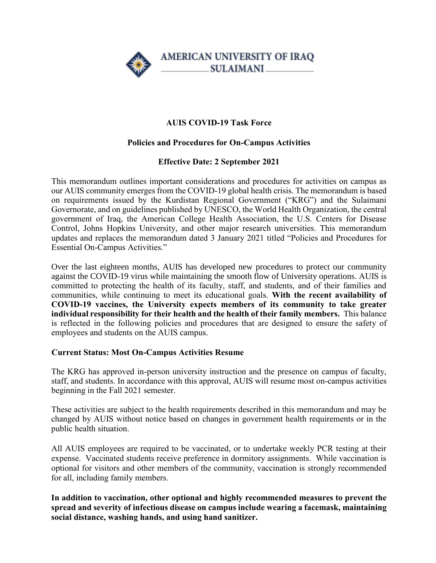

# **AUIS COVID-19 Task Force**

### **Policies and Procedures for On-Campus Activities**

### **Effective Date: 2 September 2021**

This memorandum outlines important considerations and procedures for activities on campus as our AUIS community emerges from the COVID-19 global health crisis. The memorandum is based on requirements issued by the Kurdistan Regional Government ("KRG") and the Sulaimani Governorate, and on guidelines published by UNESCO, the World Health Organization, the central government of Iraq, the American College Health Association, the U.S. Centers for Disease Control, Johns Hopkins University, and other major research universities. This memorandum updates and replaces the memorandum dated 3 January 2021 titled "Policies and Procedures for Essential On-Campus Activities."

Over the last eighteen months, AUIS has developed new procedures to protect our community against the COVID-19 virus while maintaining the smooth flow of University operations. AUIS is committed to protecting the health of its faculty, staff, and students, and of their families and communities, while continuing to meet its educational goals. **With the recent availability of COVID-19 vaccines, the University expects members of its community to take greater individual responsibility for their health and the health of their family members.** This balance is reflected in the following policies and procedures that are designed to ensure the safety of employees and students on the AUIS campus.

#### **Current Status: Most On-Campus Activities Resume**

The KRG has approved in-person university instruction and the presence on campus of faculty, staff, and students. In accordance with this approval, AUIS will resume most on-campus activities beginning in the Fall 2021 semester.

These activities are subject to the health requirements described in this memorandum and may be changed by AUIS without notice based on changes in government health requirements or in the public health situation.

All AUIS employees are required to be vaccinated, or to undertake weekly PCR testing at their expense. Vaccinated students receive preference in dormitory assignments. While vaccination is optional for visitors and other members of the community, vaccination is strongly recommended for all, including family members.

**In addition to vaccination, other optional and highly recommended measures to prevent the spread and severity of infectious disease on campus include wearing a facemask, maintaining social distance, washing hands, and using hand sanitizer.**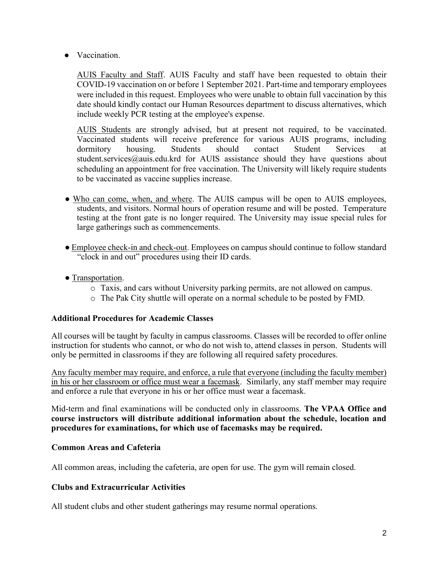● Vaccination.

AUIS Faculty and Staff. AUIS Faculty and staff have been requested to obtain their COVID-19 vaccination on or before 1 September 2021. Part-time and temporary employees were included in this request. Employees who were unable to obtain full vaccination by this date should kindly contact our Human Resources department to discuss alternatives, which include weekly PCR testing at the employee's expense.

AUIS Students are strongly advised, but at present not required, to be vaccinated. Vaccinated students will receive preference for various AUIS programs, including dormitory housing. Students should contact Student Services at student.services@auis.edu.krd for AUIS assistance should they have questions about scheduling an appointment for free vaccination. The University will likely require students to be vaccinated as vaccine supplies increase.

- Who can come, when, and where. The AUIS campus will be open to AUIS employees, students, and visitors. Normal hours of operation resume and will be posted. Temperature testing at the front gate is no longer required. The University may issue special rules for large gatherings such as commencements.
- Employee check-in and check-out. Employees on campus should continue to follow standard "clock in and out" procedures using their ID cards.
- Transportation.
	- o Taxis, and cars without University parking permits, are not allowed on campus.
	- o The Pak City shuttle will operate on a normal schedule to be posted by FMD.

#### **Additional Procedures for Academic Classes**

All courses will be taught by faculty in campus classrooms. Classes will be recorded to offer online instruction for students who cannot, or who do not wish to, attend classes in person. Students will only be permitted in classrooms if they are following all required safety procedures.

Any faculty member may require, and enforce, a rule that everyone (including the faculty member) in his or her classroom or office must wear a facemask. Similarly, any staff member may require and enforce a rule that everyone in his or her office must wear a facemask.

Mid-term and final examinations will be conducted only in classrooms. **The VPAA Office and course instructors will distribute additional information about the schedule, location and procedures for examinations, for which use of facemasks may be required.**

## **Common Areas and Cafeteria**

All common areas, including the cafeteria, are open for use. The gym will remain closed.

## **Clubs and Extracurricular Activities**

All student clubs and other student gatherings may resume normal operations.